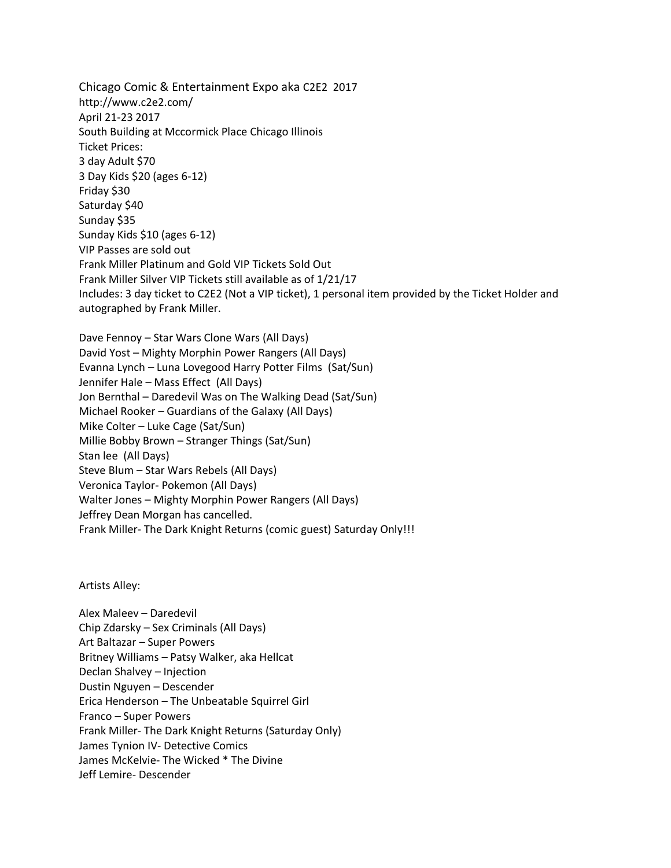Chicago Comic & Entertainment Expo aka C2E2 2017 http://www.c2e2.com/ April 21-23 2017 South Building at Mccormick Place Chicago Illinois Ticket Prices: 3 day Adult \$70 3 Day Kids \$20 (ages 6-12) Friday \$30 Saturday \$40 Sunday \$35 Sunday Kids \$10 (ages 6-12) VIP Passes are sold out Frank Miller Platinum and Gold VIP Tickets Sold Out Frank Miller Silver VIP Tickets still available as of 1/21/17 Includes: 3 day ticket to C2E2 (Not a VIP ticket), 1 personal item provided by the Ticket Holder and autographed by Frank Miller.

Dave Fennoy – Star Wars Clone Wars (All Days) David Yost – Mighty Morphin Power Rangers (All Days) Evanna Lynch – Luna Lovegood Harry Potter Films (Sat/Sun) Jennifer Hale – Mass Effect (All Days) Jon Bernthal – Daredevil Was on The Walking Dead (Sat/Sun) Michael Rooker – Guardians of the Galaxy (All Days) Mike Colter – Luke Cage (Sat/Sun) Millie Bobby Brown – Stranger Things (Sat/Sun) Stan lee (All Days) Steve Blum – Star Wars Rebels (All Days) Veronica Taylor- Pokemon (All Days) Walter Jones – Mighty Morphin Power Rangers (All Days) Jeffrey Dean Morgan has cancelled. Frank Miller- The Dark Knight Returns (comic guest) Saturday Only!!!

Artists Alley:

Alex Maleev – Daredevil Chip Zdarsky – Sex Criminals (All Days) Art Baltazar – Super Powers Britney Williams – Patsy Walker, aka Hellcat Declan Shalvey – Injection Dustin Nguyen – Descender Erica Henderson – The Unbeatable Squirrel Girl Franco – Super Powers Frank Miller- The Dark Knight Returns (Saturday Only) James Tynion IV- Detective Comics James McKelvie- The Wicked \* The Divine Jeff Lemire- Descender